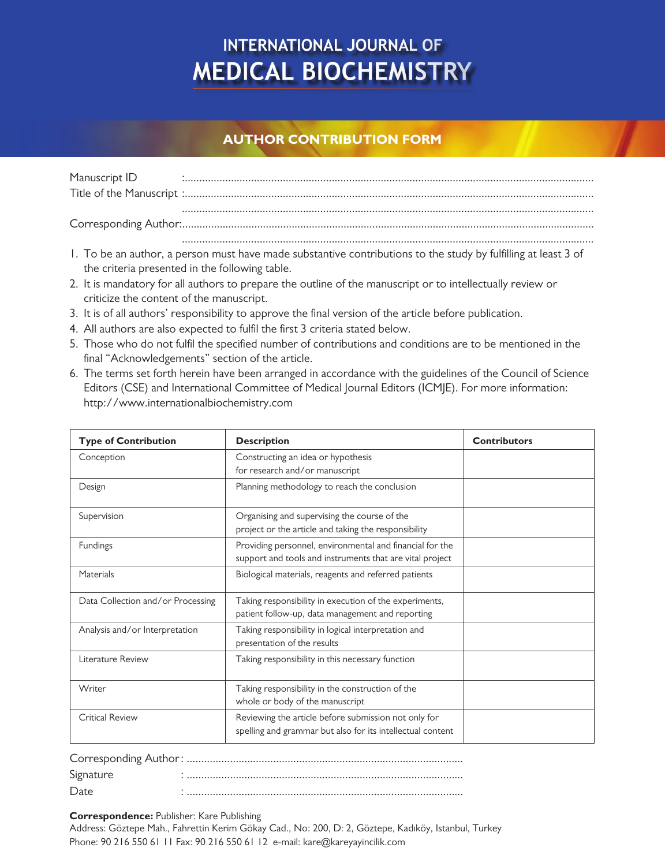# **INTERNATIONAL JOURNAL OF MEDICAL BIOCHEMISTRY**

### **AUTHOR CONTRIBUTION FORM**

| Manuscript ID |  |
|---------------|--|
|               |  |
|               |  |
|               |  |
|               |  |

- 1. To be an author, a person must have made substantive contributions to the study by fulfilling at least 3 of the criteria presented in the following table.
- 2. It is mandatory for all authors to prepare the outline of the manuscript or to intellectually review or criticize the content of the manuscript.
- 3. It is of all authors' responsibility to approve the final version of the article before publication.
- 4. All authors are also expected to fulfil the first 3 criteria stated below.
- 5. Those who do not fulfil the specified number of contributions and conditions are to be mentioned in the final "Acknowledgements" section of the article.
- 6. The terms set forth herein have been arranged in accordance with the guidelines of the Council of Science Editors (CSE) and International Committee of Medical Journal Editors (ICMJE). For more information: http://www.internationalbiochemistry.com

| <b>Type of Contribution</b>       | <b>Description</b>                                                                                                   | <b>Contributors</b> |
|-----------------------------------|----------------------------------------------------------------------------------------------------------------------|---------------------|
| Conception                        | Constructing an idea or hypothesis<br>for research and/or manuscript                                                 |                     |
| Design                            | Planning methodology to reach the conclusion                                                                         |                     |
| Supervision                       | Organising and supervising the course of the<br>project or the article and taking the responsibility                 |                     |
| Fundings                          | Providing personnel, environmental and financial for the<br>support and tools and instruments that are vital project |                     |
| Materials                         | Biological materials, reagents and referred patients                                                                 |                     |
| Data Collection and/or Processing | Taking responsibility in execution of the experiments,<br>patient follow-up, data management and reporting           |                     |
| Analysis and/or Interpretation    | Taking responsibility in logical interpretation and<br>presentation of the results                                   |                     |
| Literature Review                 | Taking responsibility in this necessary function                                                                     |                     |
| Writer                            | Taking responsibility in the construction of the<br>whole or body of the manuscript                                  |                     |
| <b>Critical Review</b>            | Reviewing the article before submission not only for<br>spelling and grammar but also for its intellectual content   |                     |

| Signature |  |
|-----------|--|
| Date      |  |

#### **Correspondence:** Publisher: Kare Publishing

Address: Göztepe Mah., Fahrettin Kerim Gökay Cad., No: 200, D: 2, Göztepe, Kadıköy, Istanbul, Turkey Phone: 90 216 550 61 11 Fax: 90 216 550 61 12 e-mail: kare@kareyayincilik.com